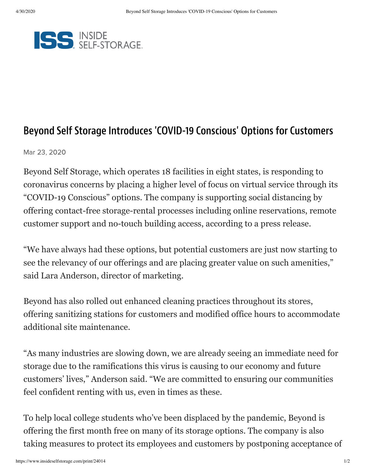

## Beyond Self Storage Introduces 'COVID-19 Conscious' Options for Customers

Mar 23, 2020

Beyond Self Storage, which operates 18 facilities in eight states, is responding to coronavirus concerns by placing a higher level of focus on virtual service through its "COVID-19 Conscious" options. The company is supporting social distancing by offering contact-free storage-rental processes including online reservations, remote customer support and no-touch building access, according to a press release.

"We have always had these options, but potential customers are just now starting to see the relevancy of our offerings and are placing greater value on such amenities," said Lara Anderson, director of marketing.

Beyond has also rolled out enhanced cleaning practices throughout its stores, offering sanitizing stations for customers and modified office hours to accommodate additional site maintenance.

"As many industries are slowing down, we are already seeing an immediate need for storage due to the ramifications this virus is causing to our economy and future customers' lives," Anderson said. "We are committed to ensuring our communities feel confident renting with us, even in times as these.

To help local college students who've been displaced by the pandemic, Beyond is offering the first month free on many of its storage options. The company is also taking measures to protect its employees and customers by postponing acceptance of